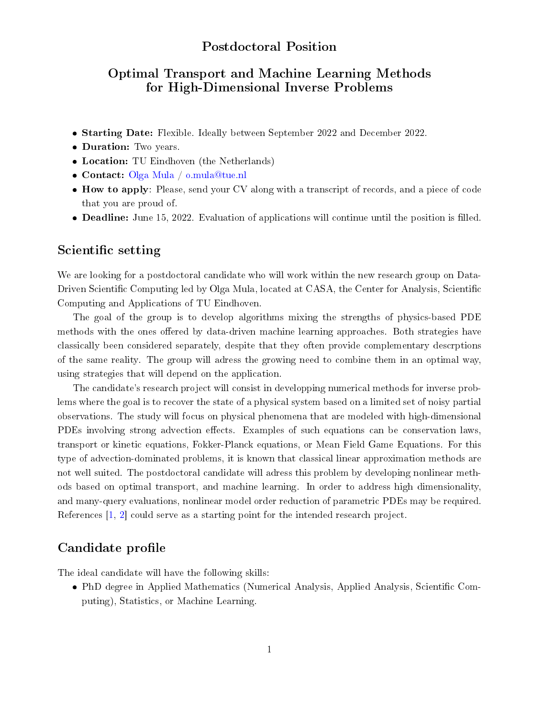#### Postdoctoral Position

## Optimal Transport and Machine Learning Methods for High-Dimensional Inverse Problems

- **Starting Date:** Flexible. Ideally between September 2022 and December 2022.
- Duration: Two years.
- Location: TU Eindhoven (the Netherlands)
- Contact: [Olga Mula](https://www.ceremade.dauphine.fr/~mula/) / [o.mula@tue.nl](mailto:o.mula@tue.nl)
- How to apply: Please, send your CV along with a transcript of records, and a piece of code that you are proud of.
- $\bullet$  Deadline: June 15, 2022. Evaluation of applications will continue until the position is filled.

#### Scientific setting

We are looking for a postdoctoral candidate who will work within the new research group on Data-Driven Scientific Computing led by Olga Mula, located at CASA, the Center for Analysis, Scientific Computing and Applications of TU Eindhoven.

The goal of the group is to develop algorithms mixing the strengths of physics-based PDE methods with the ones offered by data-driven machine learning approaches. Both strategies have classically been considered separately, despite that they often provide complementary descrptions of the same reality. The group will adress the growing need to combine them in an optimal way, using strategies that will depend on the application.

The candidate's research project will consist in developping numerical methods for inverse problems where the goal is to recover the state of a physical system based on a limited set of noisy partial observations. The study will focus on physical phenomena that are modeled with high-dimensional PDEs involving strong advection effects. Examples of such equations can be conservation laws. transport or kinetic equations, Fokker-Planck equations, or Mean Field Game Equations. For this type of advection-dominated problems, it is known that classical linear approximation methods are not well suited. The postdoctoral candidate will adress this problem by developing nonlinear methods based on optimal transport, and machine learning. In order to address high dimensionality, and many-query evaluations, nonlinear model order reduction of parametric PDEs may be required. References [\[1,](#page-1-0) [2\]](#page-1-1) could serve as a starting point for the intended research project.

### Candidate profile

The ideal candidate will have the following skills:

• PhD degree in Applied Mathematics (Numerical Analysis, Applied Analysis, Scientific Computing), Statistics, or Machine Learning.